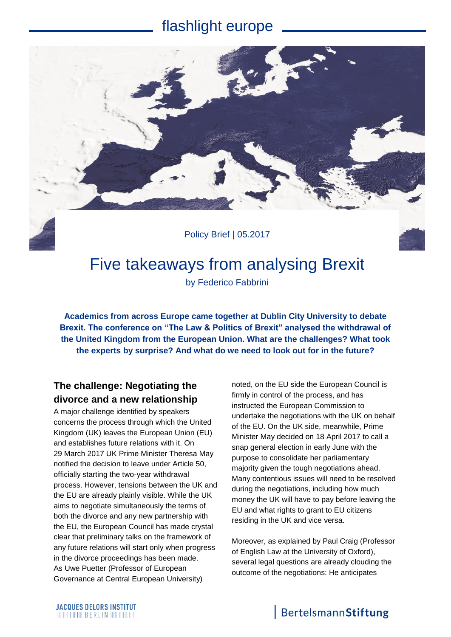## flashlight europe



# Five takeaways from analysing Brexit

by Federico Fabbrini

**Academics from across Europe came together at Dublin City University to debate Brexit. The conference on "The Law & Politics of Brexit" analysed the withdrawal of the United Kingdom from the European Union. What are the challenges? What took the experts by surprise? And what do we need to look out for in the future?**

### **The challenge: Negotiating the divorce and a new relationship**

A major challenge identified by speakers concerns the process through which the United Kingdom (UK) leaves the European Union (EU) and establishes future relations with it. On 29 March 2017 UK Prime Minister Theresa May notified the decision to leave under Article 50, officially starting the two-year withdrawal process. However, tensions between the UK and the EU are already plainly visible. While the UK aims to negotiate simultaneously the terms of both the divorce and any new partnership with the EU, the European Council has made crystal clear that preliminary talks on the framework of any future relations will start only when progress in the divorce proceedings has been made. As Uwe Puetter (Professor of European Governance at Central European University)

noted, on the EU side the European Council is firmly in control of the process, and has instructed the European Commission to undertake the negotiations with the UK on behalf of the EU. On the UK side, meanwhile, Prime Minister May decided on 18 April 2017 to call a snap general election in early June with the purpose to consolidate her parliamentary majority given the tough negotiations ahead. Many contentious issues will need to be resolved during the negotiations, including how much money the UK will have to pay before leaving the EU and what rights to grant to EU citizens residing in the UK and vice versa.

Moreover, as explained by Paul Craig (Professor of English Law at the University of Oxford), several legal questions are already clouding the outcome of the negotiations: He anticipates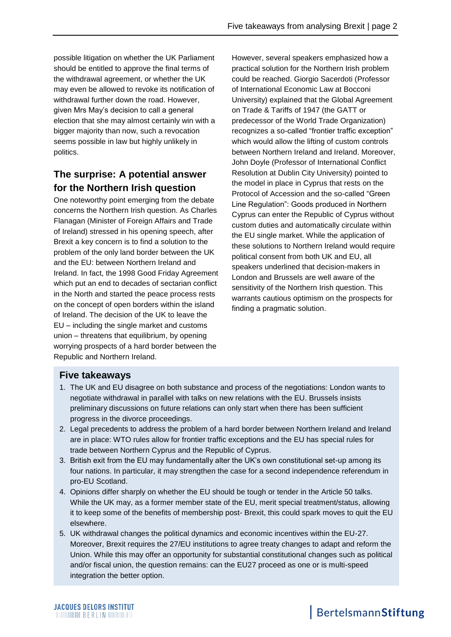possible litigation on whether the UK Parliament should be entitled to approve the final terms of the withdrawal agreement, or whether the UK may even be allowed to revoke its notification of withdrawal further down the road. However, given Mrs May's decision to call a general election that she may almost certainly win with a bigger majority than now, such a revocation seems possible in law but highly unlikely in politics.

## **The surprise: A potential answer for the Northern Irish question**

One noteworthy point emerging from the debate concerns the Northern Irish question. As Charles Flanagan (Minister of Foreign Affairs and Trade of Ireland) stressed in his opening speech, after Brexit a key concern is to find a solution to the problem of the only land border between the UK and the EU: between Northern Ireland and Ireland. In fact, the 1998 Good Friday Agreement which put an end to decades of sectarian conflict in the North and started the peace process rests on the concept of open borders within the island of Ireland. The decision of the UK to leave the EU – including the single market and customs union – threatens that equilibrium, by opening worrying prospects of a hard border between the Republic and Northern Ireland.

However, several speakers emphasized how a practical solution for the Northern Irish problem could be reached. Giorgio Sacerdoti (Professor of International Economic Law at Bocconi University) explained that the Global Agreement on Trade & Tariffs of 1947 (the GATT or predecessor of the World Trade Organization) recognizes a so-called "frontier traffic exception" which would allow the lifting of custom controls between Northern Ireland and Ireland. Moreover, John Doyle (Professor of International Conflict Resolution at Dublin City University) pointed to the model in place in Cyprus that rests on the Protocol of Accession and the so-called "Green Line Regulation": Goods produced in Northern Cyprus can enter the Republic of Cyprus without custom duties and automatically circulate within the EU single market. While the application of these solutions to Northern Ireland would require political consent from both UK and EU, all speakers underlined that decision-makers in London and Brussels are well aware of the sensitivity of the Northern Irish question. This warrants cautious optimism on the prospects for finding a pragmatic solution.

#### **Five takeaways**

- 1. The UK and EU disagree on both substance and process of the negotiations: London wants to negotiate withdrawal in parallel with talks on new relations with the EU. Brussels insists preliminary discussions on future relations can only start when there has been sufficient progress in the divorce proceedings.
- 2. Legal precedents to address the problem of a hard border between Northern Ireland and Ireland are in place: WTO rules allow for frontier traffic exceptions and the EU has special rules for trade between Northern Cyprus and the Republic of Cyprus.
- 3. British exit from the EU may fundamentally alter the UK's own constitutional set-up among its four nations. In particular, it may strengthen the case for a second independence referendum in pro-EU Scotland.
- 4. Opinions differ sharply on whether the EU should be tough or tender in the Article 50 talks. While the UK may, as a former member state of the EU, merit special treatment/status, allowing it to keep some of the benefits of membership post- Brexit, this could spark moves to quit the EU elsewhere.
- 5. UK withdrawal changes the political dynamics and economic incentives within the EU-27. Moreover, Brexit requires the 27/EU institutions to agree treaty changes to adapt and reform the Union. While this may offer an opportunity for substantial constitutional changes such as political and/or fiscal union, the question remains: can the EU27 proceed as one or is multi-speed integration the better option.

## BertelsmannStiftung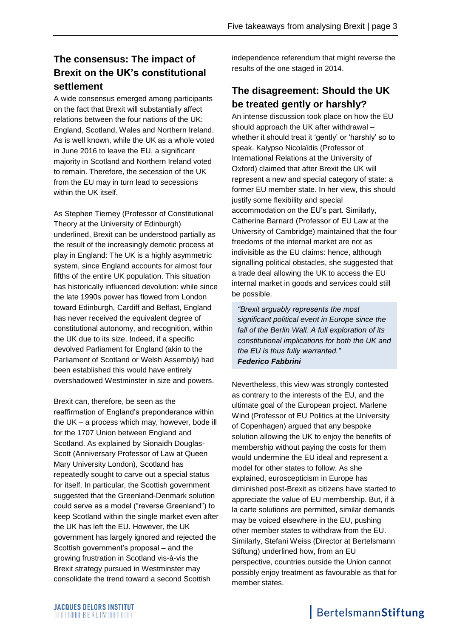## **The consensus: The impact of Brexit on the UK's constitutional settlement**

A wide consensus emerged among participants on the fact that Brexit will substantially affect relations between the four nations of the UK: England, Scotland, Wales and Northern Ireland. As is well known, while the UK as a whole voted in June 2016 to leave the EU, a significant majority in Scotland and Northern Ireland voted to remain. Therefore, the secession of the UK from the EU may in turn lead to secessions within the UK itself.

As Stephen Tierney (Professor of Constitutional Theory at the University of Edinburgh) underlined, Brexit can be understood partially as the result of the increasingly demotic process at play in England: The UK is a highly asymmetric system, since England accounts for almost four fifths of the entire UK population. This situation has historically influenced devolution: while since the late 1990s power has flowed from London toward Edinburgh, Cardiff and Belfast, England has never received the equivalent degree of constitutional autonomy, and recognition, within the UK due to its size. Indeed, if a specific devolved Parliament for England (akin to the Parliament of Scotland or Welsh Assembly) had been established this would have entirely overshadowed Westminster in size and powers.

Brexit can, therefore, be seen as the reaffirmation of England's preponderance within the UK – a process which may, however, bode ill for the 1707 Union between England and Scotland. As explained by Sionaidh Douglas-Scott (Anniversary Professor of Law at Queen Mary University London), Scotland has repeatedly sought to carve out a special status for itself. In particular, the Scottish government suggested that the Greenland-Denmark solution could serve as a model ("reverse Greenland") to keep Scotland within the single market even after the UK has left the EU. However, the UK government has largely ignored and rejected the Scottish government's proposal – and the growing frustration in Scotland vis-à-vis the Brexit strategy pursued in Westminster may consolidate the trend toward a second Scottish

independence referendum that might reverse the results of the one staged in 2014.

## **The disagreement: Should the UK be treated gently or harshly?**

An intense discussion took place on how the EU should approach the UK after withdrawal – whether it should treat it 'gently' or 'harshly' so to speak. Kalypso Nicolaïdis (Professor of International Relations at the University of Oxford) claimed that after Brexit the UK will represent a new and special category of state: a former EU member state. In her view, this should justify some flexibility and special accommodation on the EU's part. Similarly, Catherine Barnard (Professor of EU Law at the University of Cambridge) maintained that the four freedoms of the internal market are not as indivisible as the EU claims: hence, although signalling political obstacles, she suggested that a trade deal allowing the UK to access the EU internal market in goods and services could still be possible.

*"Brexit arguably represents the most significant political event in Europe since the fall of the Berlin Wall. A full exploration of its constitutional implications for both the UK and the EU is thus fully warranted." Federico Fabbrini*

Nevertheless, this view was strongly contested as contrary to the interests of the EU, and the ultimate goal of the European project. Marlene Wind (Professor of EU Politics at the University of Copenhagen) argued that any bespoke solution allowing the UK to enjoy the benefits of membership without paying the costs for them would undermine the EU ideal and represent a model for other states to follow. As she explained, euroscepticism in Europe has diminished post-Brexit as citizens have started to appreciate the value of EU membership. But, if à la carte solutions are permitted, similar demands may be voiced elsewhere in the EU, pushing other member states to withdraw from the EU. Similarly, Stefani Weiss (Director at Bertelsmann Stiftung) underlined how, from an EU perspective, countries outside the Union cannot possibly enjoy treatment as favourable as that for member states.